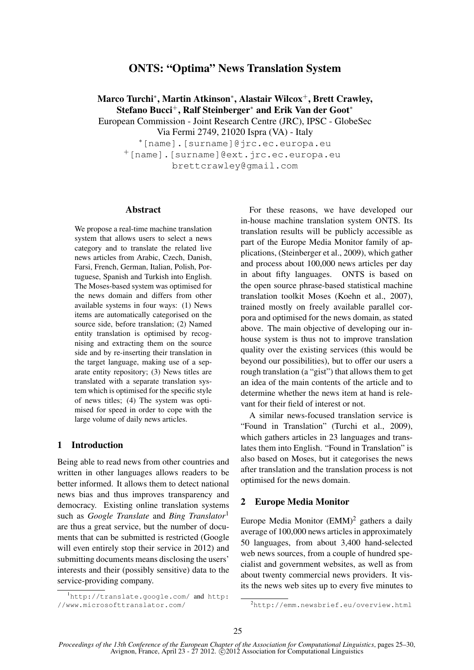# ONTS: "Optima" News Translation System

Marco Turchi\*, Martin Atkinson\*, Alastair Wilcox<sup>+</sup>, Brett Crawley, Stefano Bucci<sup>+</sup>, Ralf Steinberger<sup>∗</sup> and Erik Van der Goot<sup>∗</sup>

European Commission - Joint Research Centre (JRC), IPSC - GlobeSec

Via Fermi 2749, 21020 Ispra (VA) - Italy

<sup>∗</sup>[name].[surname]@jrc.ec.europa.eu <sup>+</sup>[name].[surname]@ext.jrc.ec.europa.eu brettcrawley@gmail.com

#### Abstract

We propose a real-time machine translation system that allows users to select a news category and to translate the related live news articles from Arabic, Czech, Danish, Farsi, French, German, Italian, Polish, Portuguese, Spanish and Turkish into English. The Moses-based system was optimised for the news domain and differs from other available systems in four ways: (1) News items are automatically categorised on the source side, before translation; (2) Named entity translation is optimised by recognising and extracting them on the source side and by re-inserting their translation in the target language, making use of a separate entity repository; (3) News titles are translated with a separate translation system which is optimised for the specific style of news titles; (4) The system was optimised for speed in order to cope with the large volume of daily news articles.

## 1 Introduction

Being able to read news from other countries and written in other languages allows readers to be better informed. It allows them to detect national news bias and thus improves transparency and democracy. Existing online translation systems such as *Google Translate* and *Bing Translator*<sup>1</sup> are thus a great service, but the number of documents that can be submitted is restricted (Google will even entirely stop their service in 2012) and submitting documents means disclosing the users' interests and their (possibly sensitive) data to the service-providing company.

For these reasons, we have developed our in-house machine translation system ONTS. Its translation results will be publicly accessible as part of the Europe Media Monitor family of applications, (Steinberger et al., 2009), which gather and process about 100,000 news articles per day in about fifty languages. ONTS is based on the open source phrase-based statistical machine translation toolkit Moses (Koehn et al., 2007), trained mostly on freely available parallel corpora and optimised for the news domain, as stated above. The main objective of developing our inhouse system is thus not to improve translation quality over the existing services (this would be beyond our possibilities), but to offer our users a rough translation (a "gist") that allows them to get an idea of the main contents of the article and to determine whether the news item at hand is relevant for their field of interest or not.

A similar news-focused translation service is "Found in Translation" (Turchi et al., 2009), which gathers articles in 23 languages and translates them into English. "Found in Translation" is also based on Moses, but it categorises the news after translation and the translation process is not optimised for the news domain.

#### 2 Europe Media Monitor

Europe Media Monitor  $(EMM)^2$  gathers a daily average of 100,000 news articles in approximately 50 languages, from about 3,400 hand-selected web news sources, from a couple of hundred specialist and government websites, as well as from about twenty commercial news providers. It visits the news web sites up to every five minutes to

<sup>1</sup>http://translate.google.com/ and http: //www.microsofttranslator.com/

<sup>2</sup>http://emm.newsbrief.eu/overview.html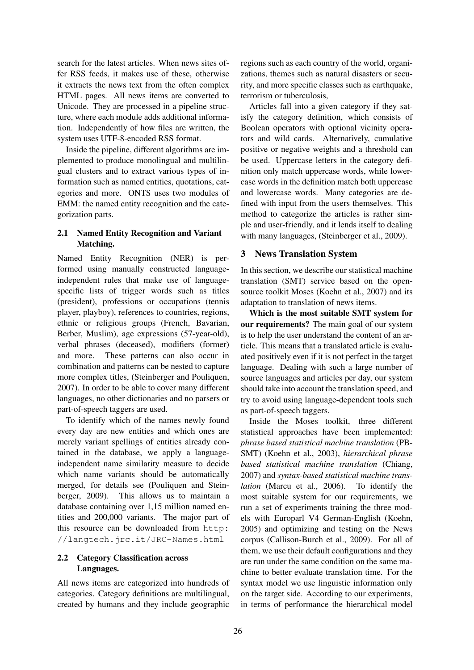search for the latest articles. When news sites offer RSS feeds, it makes use of these, otherwise it extracts the news text from the often complex HTML pages. All news items are converted to Unicode. They are processed in a pipeline structure, where each module adds additional information. Independently of how files are written, the system uses UTF-8-encoded RSS format.

Inside the pipeline, different algorithms are implemented to produce monolingual and multilingual clusters and to extract various types of information such as named entities, quotations, categories and more. ONTS uses two modules of EMM: the named entity recognition and the categorization parts.

## 2.1 Named Entity Recognition and Variant Matching.

Named Entity Recognition (NER) is performed using manually constructed languageindependent rules that make use of languagespecific lists of trigger words such as titles (president), professions or occupations (tennis player, playboy), references to countries, regions, ethnic or religious groups (French, Bavarian, Berber, Muslim), age expressions (57-year-old), verbal phrases (deceased), modifiers (former) and more. These patterns can also occur in combination and patterns can be nested to capture more complex titles, (Steinberger and Pouliquen, 2007). In order to be able to cover many different languages, no other dictionaries and no parsers or part-of-speech taggers are used.

To identify which of the names newly found every day are new entities and which ones are merely variant spellings of entities already contained in the database, we apply a languageindependent name similarity measure to decide which name variants should be automatically merged, for details see (Pouliquen and Steinberger, 2009). This allows us to maintain a database containing over 1,15 million named entities and 200,000 variants. The major part of this resource can be downloaded from http: //langtech.jrc.it/JRC-Names.html

## 2.2 Category Classification across Languages.

All news items are categorized into hundreds of categories. Category definitions are multilingual, created by humans and they include geographic regions such as each country of the world, organizations, themes such as natural disasters or security, and more specific classes such as earthquake, terrorism or tuberculosis,

Articles fall into a given category if they satisfy the category definition, which consists of Boolean operators with optional vicinity operators and wild cards. Alternatively, cumulative positive or negative weights and a threshold can be used. Uppercase letters in the category definition only match uppercase words, while lowercase words in the definition match both uppercase and lowercase words. Many categories are defined with input from the users themselves. This method to categorize the articles is rather simple and user-friendly, and it lends itself to dealing with many languages, (Steinberger et al., 2009).

## 3 News Translation System

In this section, we describe our statistical machine translation (SMT) service based on the opensource toolkit Moses (Koehn et al., 2007) and its adaptation to translation of news items.

Which is the most suitable SMT system for our requirements? The main goal of our system is to help the user understand the content of an article. This means that a translated article is evaluated positively even if it is not perfect in the target language. Dealing with such a large number of source languages and articles per day, our system should take into account the translation speed, and try to avoid using language-dependent tools such as part-of-speech taggers.

Inside the Moses toolkit, three different statistical approaches have been implemented: *phrase based statistical machine translation* (PB-SMT) (Koehn et al., 2003), *hierarchical phrase based statistical machine translation* (Chiang, 2007) and *syntax-based statistical machine translation* (Marcu et al., 2006). To identify the most suitable system for our requirements, we run a set of experiments training the three models with Europarl V4 German-English (Koehn, 2005) and optimizing and testing on the News corpus (Callison-Burch et al., 2009). For all of them, we use their default configurations and they are run under the same condition on the same machine to better evaluate translation time. For the syntax model we use linguistic information only on the target side. According to our experiments, in terms of performance the hierarchical model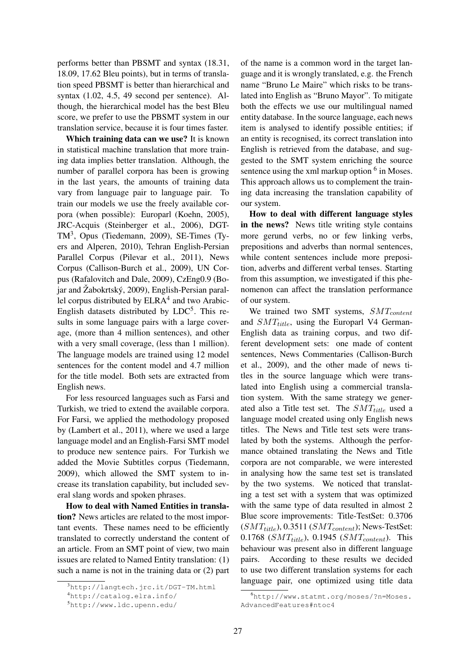performs better than PBSMT and syntax (18.31, 18.09, 17.62 Bleu points), but in terms of translation speed PBSMT is better than hierarchical and syntax (1.02, 4.5, 49 second per sentence). Although, the hierarchical model has the best Bleu score, we prefer to use the PBSMT system in our translation service, because it is four times faster.

Which training data can we use? It is known in statistical machine translation that more training data implies better translation. Although, the number of parallel corpora has been is growing in the last years, the amounts of training data vary from language pair to language pair. To train our models we use the freely available corpora (when possible): Europarl (Koehn, 2005), JRC-Acquis (Steinberger et al., 2006), DGT-TM<sup>3</sup>, Opus (Tiedemann, 2009), SE-Times (Tyers and Alperen, 2010), Tehran English-Persian Parallel Corpus (Pilevar et al., 2011), News Corpus (Callison-Burch et al., 2009), UN Corpus (Rafalovitch and Dale, 2009), CzEng0.9 (Bojar and Žabokrtský, 2009), English-Persian parallel corpus distributed by ELRA<sup>4</sup> and two Arabic-English datasets distributed by  $LDC^5$ . This results in some language pairs with a large coverage, (more than 4 million sentences), and other with a very small coverage, (less than 1 million). The language models are trained using 12 model sentences for the content model and 4.7 million for the title model. Both sets are extracted from English news.

For less resourced languages such as Farsi and Turkish, we tried to extend the available corpora. For Farsi, we applied the methodology proposed by (Lambert et al., 2011), where we used a large language model and an English-Farsi SMT model to produce new sentence pairs. For Turkish we added the Movie Subtitles corpus (Tiedemann, 2009), which allowed the SMT system to increase its translation capability, but included several slang words and spoken phrases.

How to deal with Named Entities in translation? News articles are related to the most important events. These names need to be efficiently translated to correctly understand the content of an article. From an SMT point of view, two main issues are related to Named Entity translation: (1) such a name is not in the training data or (2) part of the name is a common word in the target language and it is wrongly translated, e.g. the French name "Bruno Le Maire" which risks to be translated into English as "Bruno Mayor". To mitigate both the effects we use our multilingual named entity database. In the source language, each news item is analysed to identify possible entities; if an entity is recognised, its correct translation into English is retrieved from the database, and suggested to the SMT system enriching the source sentence using the xml markup option  $6$  in Moses. This approach allows us to complement the training data increasing the translation capability of our system.

How to deal with different language styles in the news? News title writing style contains more gerund verbs, no or few linking verbs, prepositions and adverbs than normal sentences, while content sentences include more preposition, adverbs and different verbal tenses. Starting from this assumption, we investigated if this phenomenon can affect the translation performance of our system.

We trained two SMT systems,  $SMT_{content}$ and  $SMT_{title}$ , using the Europarl V4 German-English data as training corpus, and two different development sets: one made of content sentences, News Commentaries (Callison-Burch et al., 2009), and the other made of news titles in the source language which were translated into English using a commercial translation system. With the same strategy we generated also a Title test set. The  $SMT_{title}$  used a language model created using only English news titles. The News and Title test sets were translated by both the systems. Although the performance obtained translating the News and Title corpora are not comparable, we were interested in analysing how the same test set is translated by the two systems. We noticed that translating a test set with a system that was optimized with the same type of data resulted in almost 2 Blue score improvements: Title-TestSet: 0.3706  $(SMT_{title})$ , 0.3511  $(SMT_{content})$ ; News-TestSet: 0.1768  $(SMT_{title})$ , 0.1945  $(SMT_{content})$ . This behaviour was present also in different language pairs. According to these results we decided to use two different translation systems for each language pair, one optimized using title data

<sup>3</sup>http://langtech.jrc.it/DGT-TM.html

<sup>4</sup>http://catalog.elra.info/

<sup>5</sup>http://www.ldc.upenn.edu/

<sup>6</sup>http://www.statmt.org/moses/?n=Moses. AdvancedFeatures#ntoc4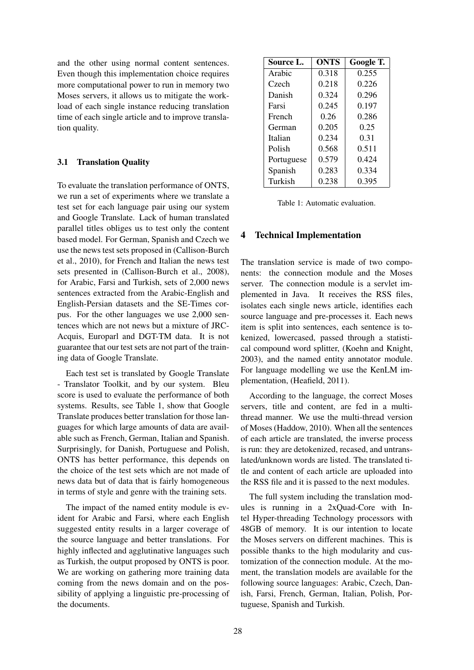and the other using normal content sentences. Even though this implementation choice requires more computational power to run in memory two Moses servers, it allows us to mitigate the workload of each single instance reducing translation time of each single article and to improve translation quality.

### 3.1 Translation Quality

To evaluate the translation performance of ONTS, we run a set of experiments where we translate a test set for each language pair using our system and Google Translate. Lack of human translated parallel titles obliges us to test only the content based model. For German, Spanish and Czech we use the news test sets proposed in (Callison-Burch et al., 2010), for French and Italian the news test sets presented in (Callison-Burch et al., 2008), for Arabic, Farsi and Turkish, sets of 2,000 news sentences extracted from the Arabic-English and English-Persian datasets and the SE-Times corpus. For the other languages we use 2,000 sentences which are not news but a mixture of JRC-Acquis, Europarl and DGT-TM data. It is not guarantee that our test sets are not part of the training data of Google Translate.

Each test set is translated by Google Translate - Translator Toolkit, and by our system. Bleu score is used to evaluate the performance of both systems. Results, see Table 1, show that Google Translate produces better translation for those languages for which large amounts of data are available such as French, German, Italian and Spanish. Surprisingly, for Danish, Portuguese and Polish, ONTS has better performance, this depends on the choice of the test sets which are not made of news data but of data that is fairly homogeneous in terms of style and genre with the training sets.

The impact of the named entity module is evident for Arabic and Farsi, where each English suggested entity results in a larger coverage of the source language and better translations. For highly inflected and agglutinative languages such as Turkish, the output proposed by ONTS is poor. We are working on gathering more training data coming from the news domain and on the possibility of applying a linguistic pre-processing of the documents.

| Source L.  | ONTS  | Google T. |
|------------|-------|-----------|
| Arabic     | 0.318 | 0.255     |
| Czech      | 0.218 | 0.226     |
| Danish     | 0.324 | 0.296     |
| Farsi      | 0.245 | 0.197     |
| French     | 0.26  | 0.286     |
| German     | 0.205 | 0.25      |
| Italian    | 0.234 | 0.31      |
| Polish     | 0.568 | 0.511     |
| Portuguese | 0.579 | 0.424     |
| Spanish    | 0.283 | 0.334     |
| Turkish    | 0.238 | 0.395     |

Table 1: Automatic evaluation.

## 4 Technical Implementation

The translation service is made of two components: the connection module and the Moses server. The connection module is a servlet implemented in Java. It receives the RSS files, isolates each single news article, identifies each source language and pre-processes it. Each news item is split into sentences, each sentence is tokenized, lowercased, passed through a statistical compound word splitter, (Koehn and Knight, 2003), and the named entity annotator module. For language modelling we use the KenLM implementation, (Heafield, 2011).

According to the language, the correct Moses servers, title and content, are fed in a multithread manner. We use the multi-thread version of Moses (Haddow, 2010). When all the sentences of each article are translated, the inverse process is run: they are detokenized, recased, and untranslated/unknown words are listed. The translated title and content of each article are uploaded into the RSS file and it is passed to the next modules.

The full system including the translation modules is running in a 2xQuad-Core with Intel Hyper-threading Technology processors with 48GB of memory. It is our intention to locate the Moses servers on different machines. This is possible thanks to the high modularity and customization of the connection module. At the moment, the translation models are available for the following source languages: Arabic, Czech, Danish, Farsi, French, German, Italian, Polish, Portuguese, Spanish and Turkish.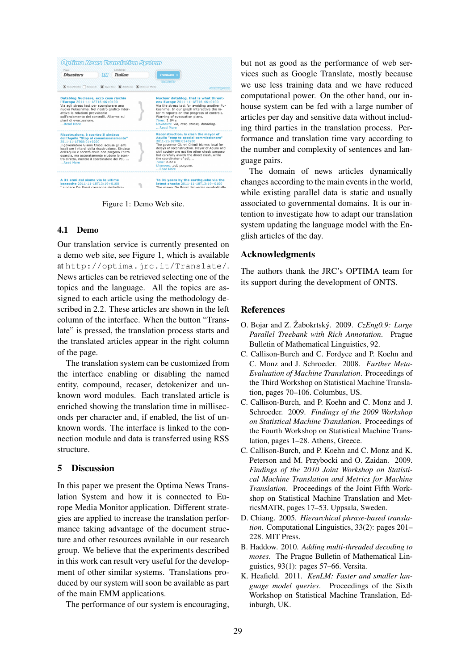| <b>Disasters</b>                                                                                                                                                                                                                                                                                                      | <b>Italian</b><br>ПN                                                 | Translate ><br><b>TO ENGINSH</b>                                                                                                                                                                                                                                                                                                                                                                  |
|-----------------------------------------------------------------------------------------------------------------------------------------------------------------------------------------------------------------------------------------------------------------------------------------------------------------------|----------------------------------------------------------------------|---------------------------------------------------------------------------------------------------------------------------------------------------------------------------------------------------------------------------------------------------------------------------------------------------------------------------------------------------------------------------------------------------|
|                                                                                                                                                                                                                                                                                                                       | X Named Entites   Compords X Upper Case X Detokenize X Unknown Words | <b>Dowerd By Mose</b>                                                                                                                                                                                                                                                                                                                                                                             |
| Datablog Nucleare, ecco cosa rischia<br>l'Europa 2011-11-18T16:46+0100<br>Via agli stress test per scongiurare una<br>attivo le relationi provvisorie<br>sull'andamento dei controlli. Allarme sui<br>piani di evacuazione.<br>Read More                                                                              | nuova Fukushima. Nel nostro grafico inter-                           | Nuclear datablog, that is what threat-<br>ens Europe 2011-11-18T16:46+0100<br>Via the stress test for avoiding another Fu-<br>kushima. In our graph interactive the in-<br>terim reports on the progress of controls.<br>Warning of evacuation plans.<br>Time: 1.84 s<br>Unknown: via, test, stress, datablog.<br>Read More                                                                       |
| Ricostruzione, è scontro Il sindaco<br>dell'Aquila "Stop al commissariamento"<br>2011-11-18T08:01+0200<br>Il governatore Gianni Chiodi accusa gli enti<br>dell'Aguila e società civile non porgono l'altra<br>quancia, ma accuratamente eludono lo scon-<br>tro diretto, mentre il coordinatore del Pdl,<br>Read More | locali per i ritardi della ricostruzione. Sindaco                    | <b>Reconstruction, is clash the mayor of</b><br>Aquila "stop to special commissioners"<br>2011-11-18T08:01+0200<br>The governor Gianni Chiodi blames local for<br>delays of reconstruction. Mayor of Aguila and<br>civil society are not the other cheek porgono<br>but carefully avoids the direct clash, while<br>the coordinator of pdl<br>Time: 2.22 s<br>Unknown: pdl, porgono.<br>Read More |
| A 31 anni dal sisma via le ultime<br>baracche 2011-11-18T13:19+0100<br>I sindaco De Rossi consegna simbolica-                                                                                                                                                                                                         |                                                                      | To 31 years by the earthquake via the<br>latest shacks 2011-11-18T13:19+0100<br>The mayor De Rossi deliveries symbolically                                                                                                                                                                                                                                                                        |

Figure 1: Demo Web site.

#### 4.1 Demo

Our translation service is currently presented on a demo web site, see Figure 1, which is available at http://optima.jrc.it/Translate/. News articles can be retrieved selecting one of the topics and the language. All the topics are assigned to each article using the methodology described in 2.2. These articles are shown in the left column of the interface. When the button "Translate" is pressed, the translation process starts and the translated articles appear in the right column of the page.

The translation system can be customized from the interface enabling or disabling the named entity, compound, recaser, detokenizer and unknown word modules. Each translated article is enriched showing the translation time in milliseconds per character and, if enabled, the list of unknown words. The interface is linked to the connection module and data is transferred using RSS structure.

## 5 Discussion

In this paper we present the Optima News Translation System and how it is connected to Europe Media Monitor application. Different strategies are applied to increase the translation performance taking advantage of the document structure and other resources available in our research group. We believe that the experiments described in this work can result very useful for the development of other similar systems. Translations produced by our system will soon be available as part of the main EMM applications.

The performance of our system is encouraging,

but not as good as the performance of web services such as Google Translate, mostly because we use less training data and we have reduced computational power. On the other hand, our inhouse system can be fed with a large number of articles per day and sensitive data without including third parties in the translation process. Performance and translation time vary according to the number and complexity of sentences and language pairs.

The domain of news articles dynamically changes according to the main events in the world, while existing parallel data is static and usually associated to governmental domains. It is our intention to investigate how to adapt our translation system updating the language model with the English articles of the day.

#### Acknowledgments

The authors thank the JRC's OPTIMA team for its support during the development of ONTS.

#### References

- O. Bojar and Z. Žabokrtský. 2009. CzEng0.9: Large *Parallel Treebank with Rich Annotation*. Prague Bulletin of Mathematical Linguistics, 92.
- C. Callison-Burch and C. Fordyce and P. Koehn and C. Monz and J. Schroeder. 2008. *Further Meta-Evaluation of Machine Translation*. Proceedings of the Third Workshop on Statistical Machine Translation, pages 70–106. Columbus, US.
- C. Callison-Burch, and P. Koehn and C. Monz and J. Schroeder. 2009. *Findings of the 2009 Workshop on Statistical Machine Translation*. Proceedings of the Fourth Workshop on Statistical Machine Translation, pages 1–28. Athens, Greece.
- C. Callison-Burch, and P. Koehn and C. Monz and K. Peterson and M. Przybocki and O. Zaidan. 2009. *Findings of the 2010 Joint Workshop on Statistical Machine Translation and Metrics for Machine Translation*. Proceedings of the Joint Fifth Workshop on Statistical Machine Translation and MetricsMATR, pages 17–53. Uppsala, Sweden.
- D. Chiang. 2005. *Hierarchical phrase-based translation*. Computational Linguistics, 33(2): pages 201– 228. MIT Press.
- B. Haddow. 2010. *Adding multi-threaded decoding to moses*. The Prague Bulletin of Mathematical Linguistics, 93(1): pages 57–66. Versita.
- K. Heafield. 2011. *KenLM: Faster and smaller language model queries*. Proceedings of the Sixth Workshop on Statistical Machine Translation, Edinburgh, UK.